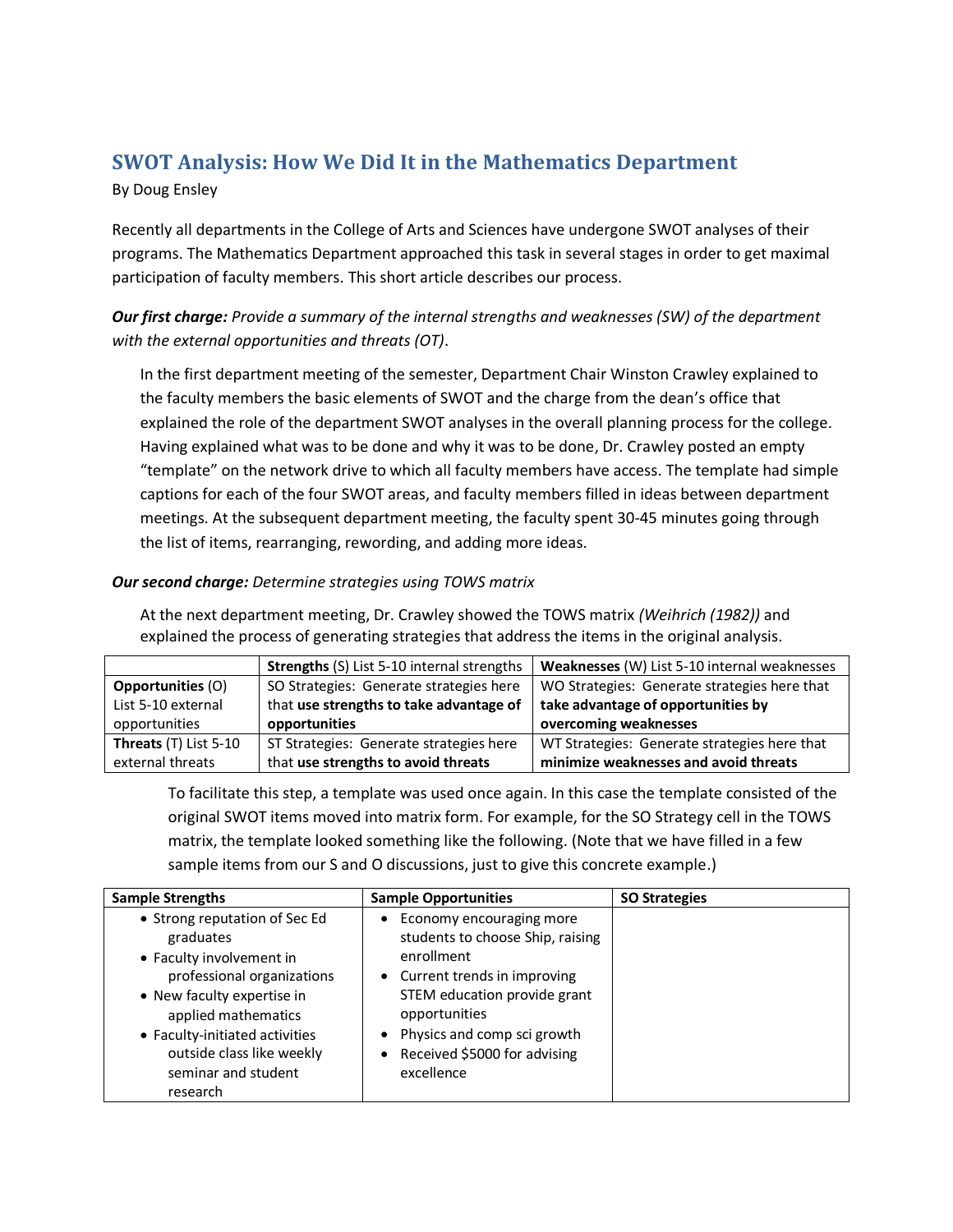# **SWOT Analysis: How We Did It in the Mathematics Department**

### By Doug Ensley

Recently all departments in the College of Arts and Sciences have undergone SWOT analyses of their programs. The Mathematics Department approached this task in several stages in order to get maximal participation of faculty members. This short article describes our process.

## *Our first charge: Provide a summary of the internal strengths and weaknesses (SW) of the department with the external opportunities and threats (OT)*.

In the first department meeting of the semester, Department Chair Winston Crawley explained to the faculty members the basic elements of SWOT and the charge from the dean's office that explained the role of the department SWOT analyses in the overall planning process for the college. Having explained what was to be done and why it was to be done, Dr. Crawley posted an empty "template" on the network drive to which all faculty members have access. The template had simple captions for each of the four SWOT areas, and faculty members filled in ideas between department meetings. At the subsequent department meeting, the faculty spent 30-45 minutes going through the list of items, rearranging, rewording, and adding more ideas.

### *Our second charge: Determine strategies using TOWS matrix*

At the next department meeting, Dr. Crawley showed the TOWS matrix *(Weihrich (1982))* and explained the process of generating strategies that address the items in the original analysis.

|                          | <b>Strengths (S) List 5-10 internal strengths</b> | Weaknesses (W) List 5-10 internal weaknesses |  |
|--------------------------|---------------------------------------------------|----------------------------------------------|--|
| <b>Opportunities (O)</b> | SO Strategies: Generate strategies here           | WO Strategies: Generate strategies here that |  |
| List 5-10 external       | that use strengths to take advantage of           | take advantage of opportunities by           |  |
| opportunities            | opportunities                                     | overcoming weaknesses                        |  |
| Threats (T) List 5-10    | ST Strategies: Generate strategies here           | WT Strategies: Generate strategies here that |  |
| external threats         | that use strengths to avoid threats               | minimize weaknesses and avoid threats        |  |

To facilitate this step, a template was used once again. In this case the template consisted of the original SWOT items moved into matrix form. For example, for the SO Strategy cell in the TOWS matrix, the template looked something like the following. (Note that we have filled in a few sample items from our S and O discussions, just to give this concrete example.)

| <b>Sample Strengths</b>                                                                                                                                                                                                                                     | <b>Sample Opportunities</b>                                                                                                                                                                                                               | <b>SO Strategies</b> |
|-------------------------------------------------------------------------------------------------------------------------------------------------------------------------------------------------------------------------------------------------------------|-------------------------------------------------------------------------------------------------------------------------------------------------------------------------------------------------------------------------------------------|----------------------|
| • Strong reputation of Sec Ed<br>graduates<br>• Faculty involvement in<br>professional organizations<br>• New faculty expertise in<br>applied mathematics<br>• Faculty-initiated activities<br>outside class like weekly<br>seminar and student<br>research | Economy encouraging more<br>students to choose Ship, raising<br>enrollment<br>• Current trends in improving<br>STEM education provide grant<br>opportunities<br>Physics and comp sci growth<br>Received \$5000 for advising<br>excellence |                      |